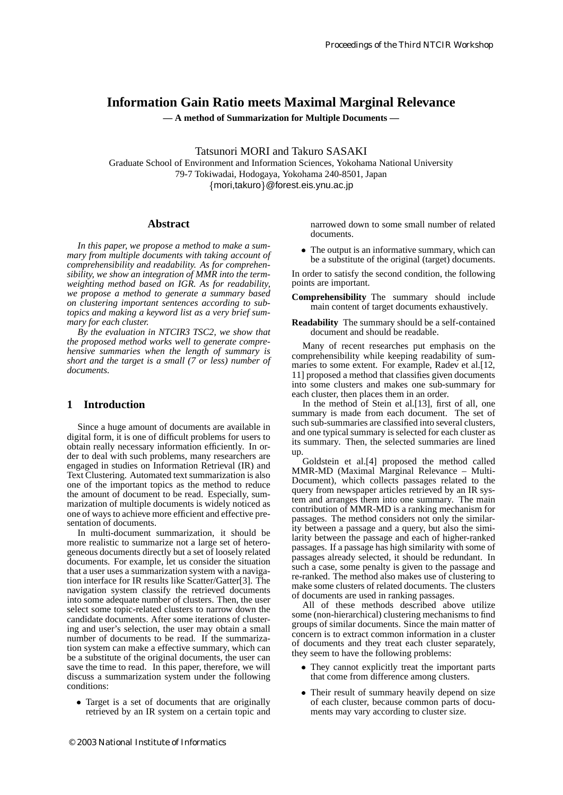# **Information Gain Ratio meets Maximal Marginal Relevance**

**— A method of Summarization for Multiple Documents —**

Tatsunori MORI and Takuro SASAKI

Graduate School of Environment and Information Sciences, Yokohama National University 79-7 Tokiwadai, Hodogaya, Yokohama 240-8501, Japan mori,takuro@forest.eis.ynu.ac.jp

#### **Abstract**

*In this paper, we propose a method to make a summary from multiple documents with taking account of comprehensibility and readability. As for comprehensibility, we show an integration of MMR into the termweighting method based on IGR. As for readability, we propose a method to generate a summary based on clustering important sentences according to subtopics and making a keyword list as a very brief summary for each cluster.*

*By the evaluation in NTCIR3 TSC2, we show that the proposed method works well to generate comprehensive summaries when the length of summary is short and the target is a small (7 or less) number of documents.*

## **1 Introduction**

Since a huge amount of documents are available in digital form, it is one of difficult problems for users to obtain really necessary information efficiently. In order to deal with such problems, many researchers are engaged in studies on Information Retrieval (IR) and Text Clustering. Automated text summarization is also one of the important topics as the method to reduce the amount of document to be read. Especially, summarization of multiple documents is widely noticed as one of ways to achieve more efficient and effective presentation of documents.

In multi-document summarization, it should be more realistic to summarize not a large set of heterogeneous documents directly but a set of loosely related documents. For example, let us consider the situation that a user uses a summarization system with a navigation interface for IR results like Scatter/Gatter[3]. The navigation system classify the retrieved documents into some adequate number of clusters. Then, the user select some topic-related clusters to narrow down the candidate documents. After some iterations of clustering and user's selection, the user may obtain a small number of documents to be read. If the summarization system can make a effective summary, which can be a substitute of the original documents, the user can save the time to read. In this paper, therefore, we will discuss a summarization system under the following conditions:

- Target is a set of documents that are originally retrieved by an IR system on a certain topic and

© 2003 National Institute of Informatics

narrowed down to some small number of related documents.

• The output is an informative summary, which can be a substitute of the original (target) documents.

In order to satisfy the second condition, the following points are important.

- **Comprehensibility** The summary should include main content of target documents exhaustively.
- **Readability** The summary should be a self-contained document and should be readable.

Many of recent researches put emphasis on the comprehensibility while keeping readability of summaries to some extent. For example, Radev et al.[12, 11] proposed a method that classifies given documents into some clusters and makes one sub-summary for each cluster, then places them in an order.

In the method of Stein et al.[13], first of all, one summary is made from each document. The set of such sub-summaries are classified into several clusters, and one typical summary is selected for each cluster as its summary. Then, the selected summaries are lined up.

Goldstein et al.[4] proposed the method called MMR-MD (Maximal Marginal Relevance – Multi-Document), which collects passages related to the query from newspaper articles retrieved by an IR system and arranges them into one summary. The main contribution of MMR-MD is a ranking mechanism for passages. The method considers not only the similarity between a passage and a query, but also the similarity between the passage and each of higher-ranked passages. If a passage has high similarity with some of passages already selected, it should be redundant. In such a case, some penalty is given to the passage and re-ranked. The method also makes use of clustering to make some clusters of related documents. The clusters of documents are used in ranking passages.

All of these methods described above utilize some (non-hierarchical) clustering mechanisms to find groups of similar documents. Since the main matter of concern is to extract common information in a cluster of documents and they treat each cluster separately, they seem to have the following problems:

- They cannot explicitly treat the important parts that come from difference among clusters.
- Their result of summary heavily depend on size of each cluster, because common parts of documents may vary according to cluster size.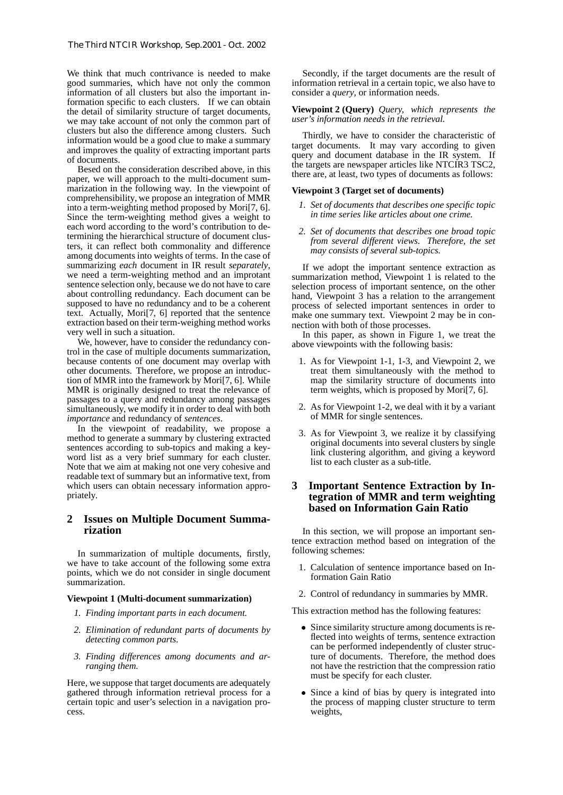We think that much contrivance is needed to make good summaries, which have not only the common information of all clusters but also the important information specific to each clusters. If we can obtain the detail of similarity structure of target documents, we may take account of not only the common part of clusters but also the difference among clusters. Such information would be a good clue to make a summary and improves the quality of extracting important parts of documents.

Besed on the consideration described above, in this paper, we will approach to the multi-document summarization in the following way. In the viewpoint of comprehensibility, we propose an integration of MMR into a term-weighting method proposed by Mori[7, 6]. Since the term-weighting method gives a weight to each word according to the word's contribution to determining the hierarchical structure of document clusters, it can reflect both commonality and difference among documents into weights of terms. In the case of summarizing *each* document in IR result *separately*, we need a term-weighting method and an improtant sentence selection only, because we do not have to care about controlling redundancy. Each document can be supposed to have no redundancy and to be a coherent text. Actually, Mori[7, 6] reported that the sentence extraction based on their term-weighing method works very well in such a situation.

We, however, have to consider the redundancy control in the case of multiple documents summarization, because contents of one document may overlap with other documents. Therefore, we propose an introduction of MMR into the framework by Mori[7, 6]. While MMR is originally designed to treat the relevance of passages to a query and redundancy among passages simultaneously, we modify it in order to deal with both *importance* and redundancy of *sentences*.

In the viewpoint of readability, we propose a method to generate a summary by clustering extracted sentences according to sub-topics and making a keyword list as a very brief summary for each cluster. Note that we aim at making not one very cohesive and readable text of summary but an informative text, from which users can obtain necessary information appropriately.

## **2 Issues on Multiple Document Summarization**

In summarization of multiple documents, firstly, we have to take account of the following some extra points, which we do not consider in single document summarization.

#### **Viewpoint 1 (Multi-document summarization)**

- *1. Finding important parts in each document.*
- *2. Elimination of redundant parts of documents by detecting common parts.*
- *3. Finding differences among documents and arranging them.*

Here, we suppose that target documents are adequately gathered through information retrieval process for a certain topic and user's selection in a navigation process.

Secondly, if the target documents are the result of information retrieval in a certain topic, we also have to consider a *query*, or information needs.

#### **Viewpoint 2 (Query)** *Query, which represents the user's information needs in the retrieval.*

Thirdly, we have to consider the characteristic of target documents. It may vary according to given query and document database in the IR system. If the targets are newspaper articles like NTCIR3 TSC2, there are, at least, two types of documents as follows:

### **Viewpoint 3 (Target set of documents)**

- *1. Set of documents that describes one specific topic in time series like articles about one crime.*
- *2. Set of documents that describes one broad topic from several different views. Therefore, the set may consists of several sub-topics.*

If we adopt the important sentence extraction as summarization method, Viewpoint 1 is related to the selection process of important sentence, on the other hand, Viewpoint 3 has a relation to the arrangement process of selected important sentences in order to make one summary text. Viewpoint 2 may be in connection with both of those processes.

In this paper, as shown in Figure 1, we treat the above viewpoints with the following basis:

- 1. As for Viewpoint 1-1, 1-3, and Viewpoint 2, we treat them simultaneously with the method to map the similarity structure of documents into term weights, which is proposed by Mori[7, 6].
- 2. As for Viewpoint 1-2, we deal with it by a variant of MMR for single sentences.
- 3. As for Viewpoint 3, we realize it by classifying original documents into several clusters by single link clustering algorithm, and giving a keyword list to each cluster as a sub-title.

## **3 Important Sentence Extraction by Integration of MMR and term weighting based on Information Gain Ratio**

In this section, we will propose an important sentence extraction method based on integration of the following schemes:

- 1. Calculation of sentence importance based on Information Gain Ratio
- 2. Control of redundancy in summaries by MMR.

This extraction method has the following features:

- Since similarity structure among documents is reflected into weights of terms, sentence extraction can be performed independently of cluster structure of documents. Therefore, the method does not have the restriction that the compression ratio must be specify for each cluster.
- Since a kind of bias by query is integrated into the process of mapping cluster structure to term weights,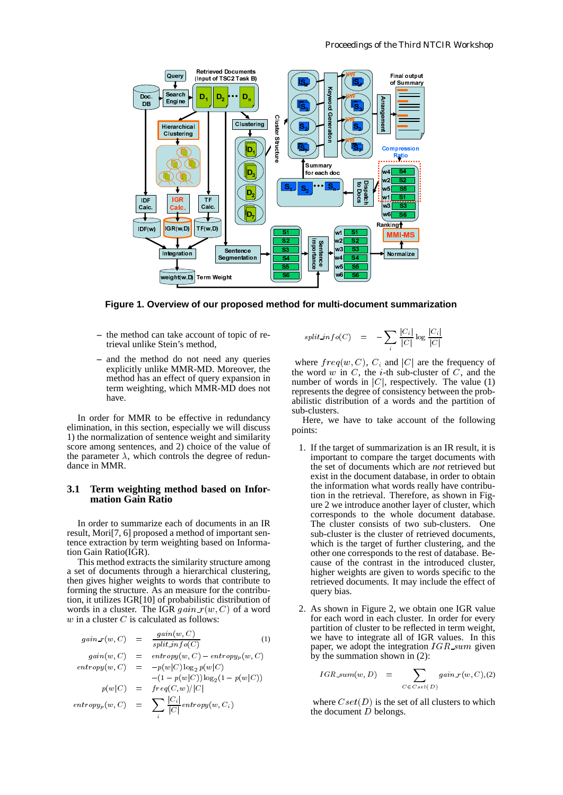

**Figure 1. Overview of our proposed method for multi-document summarization**

- **–** the method can take account of topic of retrieval unlike Stein's method,
- **–** and the method do not need any queries explicitly unlike MMR-MD. Moreover, the method has an effect of query expansion in term weighting, which MMR-MD does not have.

In order for MMR to be effective in redundancy elimination, in this section, especially we will discuss 1) the normalization of sentence weight and similarity score among sentences, and 2) choice of the value of the parameter  $\lambda$ , which controls the degree of redundance in MMR.

## **3.1 Term weighting method based on Information Gain Ratio**

In order to summarize each of documents in an IR result, Mori[7, 6] proposed a method of important sentence extraction by term weighting based on Information Gain Ratio(IGR).

**Integration**<br>
Integration<br>
Integration<br>
Integration<br>
Integration<br>
Integration<br>
Integration<br>
In Coverview of our<br>
notation<br>
In the MMR-MD.<br>
In the MMR-MD.<br>
In the MMR-MD.<br>
MR to be effective is<br>
section, especially w<br>
MR **Internal Accord Control**<br> **Internal Accord Control**<br> **Internal Accord Controls**<br> **Internal Accord Controls**<br> **Internal Accord Controls**<br> **Internal Accord Controls**<br> **Internal Accord Controls**<br> **Internal Accord Controls**<br> **Example 2**<br> **Example 2**<br> **Example 2**<br> **Example 2**<br> **Example 2**<br> **Example 2**<br> **Example 2**<br> **CONTER 2**<br> **CONTER 2**<br> **CONTER 2**<br> **CONTER 2**<br> **CONTER 2**<br> **CONTER 2**<br> **CONTER 2**<br> **CONTER 2**<br> **CONTER 2**<br> **CONTER 2**<br> **CONTER 2 Example 18**<br>
Suppose topic danged topic danged topic danged and a simple redunced will divide the value of redunced in the value of redunced in the contribution of a compute  $op_{yp}(w - p(w|\sigma_{ij}))$  of a compute  $p_{ij}(w - p(w|\sigma_{ij}))$ . eight<br>
propose<br>
of topic of<br>
d any que<br>
Moreover, expansion<br>
MD does<br>
n redunda<br>
e will disc<br>
and similar fide valuation<br>
free of red<br>
ed on Inf<br>
nents in an<br>
mportant sin an<br>
mportant sin an<br>
mportant sin an<br>
mportant si **Follow f** during the definition of the definition of the definition of the degree degree degree degree degree degree degree degree degree degree degree degree degree degree degree degree degree degree degree degree deg This method extracts the similarity structure among a set of documents through a hierarchical clustering, then gives higher weights to words that contribute to forming the structure. As an measure for the contribution, it utilizes IGR[10] of probabilistic distribution of words in a cluster. The IGR  $gain_{\tau}(w, C)$  of a word  $w$  in a cluster  $C$  is calculated as follows:

$$
gain_r(w, C) = \frac{gain(w, C)}{split\_info(C)} \tag{1}
$$

$$
gan(w, C) = entropy(w, C) - entropy_p(w, C)
$$
  
entropy(w, C) =  $-p(w|C) \log_2 p(w|C)$   
-(1 -  $p(w|C) \log_2 (1 - p(w|C))$ 

$$
p(w|C) = freq(C, w)/|C|
$$
  
entropy<sub>p</sub>(w, C) =  $\sum \frac{|C_i|}{|C|} entropy(w, C_i)$ 

$$
split\_info(C) = -\sum_{i} \frac{|C_i|}{|C|} \log \frac{|C_i|}{|C|}
$$

where  $freq(w, C)$ ,  $C_i$  and  $|C|$  are the frequency of the word  $w$  in  $C$ , the  $i$ -th sub-cluster of  $C$ , and the number of words in  $|C|$ , respectively. The value (1) represents the degree of consistency between the probabilistic distribution of a words and the partition of sub-clusters.

Here, we have to take account of the following points:

- sant and the control of the control of the control of the control of the control of the control of the control of the control of the control of the control of the control of the control of the control of the control of the sand and the second of the second in the second in the second of the second in the second in the second in the second in the second second in the second second second second second second second second second second second Manus Controller Controller Controller in the controller of the controller in the controller of the controller controller and multiple the controller controller controller controller controller controller controller contr structure of the structure of the structure of the structure of the structure of the structure of the structure of the structure of the structure of the structure of the structure of the structure of the structure of the s ssille and controlled to the controller of the controller of the controller of the controller of the controller of the controller of the controller of the controller of the controller of the controller of the controller of ■ SC C is aggitarium vertice of colored in the second of the second of the second of the second in the second of the second second second second second second second second second second second second second second second w1 w3<br>w4 w5<br>w4 w5<br>w4 w5<br>w5<br>ti-<br>o(v q (y i we)<br>c q q (y i we)<br>hhe we)<br>whis was interested<br>bi.<br>whis weld was interested  $\begin{array}{c}\n\text{with } \mathbf{w} \neq \mathbf{w} \neq \mathbf{w} \neq \mathbf{w} \neq \mathbf{w} \neq \mathbf{w} \neq \mathbf{w} \neq \mathbf{w} \neq \mathbf{w} \neq \mathbf{w} \neq \mathbf{w} \neq \mathbf{w} \neq \mathbf{w} \neq \mathbf{w} \neq \mathbf{w} \neq \mathbf{w} \neq \mathbf{w} \neq \mathbf{w} \neq \mathbf{w} \neq \mathbf{w} \neq \mathbf{w} \neq \mathbf{w} \neq \mathbf{w} \neq$ w5 we intervals of  $q(\begin{array}{c} q(\begin{array}{c} 1 \end{array})$  intervals are arrupted with  $\begin{array}{c} 0 \end{array}$  which we while  $\begin{array}{c} 0 \end{array}$  which we with  $\begin{array}{c} 0 \end{array}$  is also  $\begin{array}{c} 1 \end{array}$  which we with  $\begin{array}{c} 0 \end{array}$  is also  $\begin{$ w5  $\mathbf{H} = \n\begin{bmatrix}\n\mathbf{g} & \mathbf{h} \\
\mathbf{h} & \mathbf{h} \\
\mathbf{h} & \mathbf{h}\n\end{bmatrix}$ <br>  $\mathbf{h} = \n\begin{bmatrix}\n\mathbf{g} & \mathbf{h} \\
\mathbf{h} & \mathbf{h} \\
\mathbf{h} & \mathbf{h}\n\end{bmatrix}$ <br>  $\mathbf{h} = \n\begin{bmatrix}\n\mathbf{g} & \mathbf{h} \\
\mathbf{h} & \mathbf{h} \\
\mathbf{h} & \mathbf{h}\n\end{bmatrix}$ <br>  $\mathbf{h} = \n\begin{bmatrix}\n$ Manus Manus Manus Manus Manus Manus Manus Manus Manus Manus Manus Manus Manus Manus Manus Manus Manus Manus Ma<br>S4 Manus Manus Manus Manus Manus Manus Manus Manus Manus Manus Manus Manus Manus Manus Manus Manus Manus Manus loss structure in the local deviation of the control of the control of the control of the control of the control of the control of the control of the control of the control of the control of the control of the control of low street in the street of the street of the street of the street of the street of the street of the street of the street of the street of the street of the street of the street of the street of the street of the street sinum in the state of the state of the state of the state of the state of the state of the state of the state of the state of the state of the state of the state of the state of the state of the state of the state of the s <u>sserin in the control</u>ed the control of the control of the control of the control of the control of the control of the control of the control of the control of the control of the control of states. Hallen in the light of the light of the light of the light of the light of the light of the light of the light of the light of the light of the light of the light of the light of the light of the light of the light of the  $x_1$  we want to the contract of the contract of the contract of the contract of the contract of the contract of the contract of the contract of the contract of the contract of the contract of the contract of the contract ws with the total and the total and said of the total and said of the total of the said of the said of the said of the the said distribution of the said distribution of the said distribution of the said distribution of the w1.  $\frac{1}{1}$  w  $\frac{1}{1}$  and  $\frac{1}{1}$  and  $\frac{1}{1}$  and  $\frac{1}{1}$  and  $\frac{1}{1}$  and  $\frac{1}{1}$  and  $\frac{1}{1}$  and  $\frac{1}{1}$  and  $\frac{1}{1}$  and  $\frac{1}{1}$  and  $\frac{1}{1}$  and  $\frac{1}{1}$  and  $\frac{1}{1}$  and  $\frac{1}{1}$  and  $\frac{1}{1}$  $\begin{array}{ccc} \text{with} & \mathbf{b} \\ \text{with} & \mathbf{b} \\ \text{with} & \mathbf{b} \\ \text{with} & \mathbf{b} \\ \text{with} & \mathbf{b} \\ \text{with} & \mathbf{b} \\ \text{with} & \mathbf{c} \\ \text{with} & \mathbf{c} \\ \text{with} & \mathbf{c} \\ \text{with} & \mathbf{c} \\ \text{with} & \mathbf{c} \\ \text{with} & \mathbf{c} \\ \text{with} & \mathbf{c} \\ \text{with} & \mathbf{c} \\ \text{with} & \mathbf{c} \\ \text{with} & \mathbf{c} \\ \text{with}$ we we have not a set of the material of the material of the material state of the set of the material of the set of the set of the set of the set of the set of the set of the set of the set of the set of the set of the set  $\frac{m}{N}$  which  $\sum_{i=1}^{N}$  and  $k\in\mathbb{R}$  and  $k\in\mathbb{R}$  and  $k\in\mathbb{R}$  and  $k\in\mathbb{R}$  and  $k\in\mathbb{R}$  and  $k\in\mathbb{R}$  and  $k\in\mathbb{R}$  and  $k\in\mathbb{R}$  and  $k\in\mathbb{R}$  and  $k\in\mathbb{R}$  and  $k\in\mathbb{R}$  and  $k\in\mathbb{R}$  Summ<br>  $\sum_{i} \frac{|C_i|}{|C|}$ <br>  $\frac{1}{|C|}$ <br>
and  $|C|$ <br>  $\frac{1}{|C|}$ <br>
and  $|C|$ <br>  $\frac{1}{|C|}$ <br>
and  $|C|$ <br>  $\frac{1}{|C|}$ <br>  $\frac{1}{|C|}$ <br>  $\frac{1}{|C|}$ <br>  $\frac{1}{|C|}$ <br>  $\frac{1}{|C|}$ <br>  $\frac{1}{|C|}$ <br>  $\frac{1}{|C|}$ <br>  $\frac{1}{|C|}$ <br>  $\frac{1}{|C|}$ <br>  $\frac{1}{$ **Example 12**<br>
We also the state of the state of the state of the state of the state of the state of the state of the state of the state of the state of the state of the state of the state of the state of the state of the **Rational Strategy of the Strategy of American**<br>Strategy of The Strategy of The Strategy of The Strategy of The Strategy of The Strategy of The Strategy of The Strategy of The Strategy of The Strategy of Strategy of Strate For each contract of the control of the sub-<br>
sub-<br>
sub-<br>
sub-<br>
sub-<br>
sub-<br>
sub-<br>
sub-<br>
sub-<br>
sub-<br>
sub-<br>
sub-<br>
sub-<br>
sub-<br>
sub-<br>
sub-<br>
sub-<br>
sub-<br>
sub-<br>
sub-<br>
sub-<br>
sub-<br>
sub-<br>
sub-<br>
sub-<br>
sub-<br>
sub-<br>
sub-<br>
sub-<br>
sub-<br>
su **Example 19** and  $\overline{S}$  and  $\overline{S}$  and  $\overline{S}$  and  $\overline{S}$  and  $\overline{S}$  and  $\overline{S}$  and  $\overline{S}$  and  $\overline{S}$  and  $\overline{S}$  and  $\overline{S}$  and  $\overline{S}$  and  $\overline{S}$  and  $\overline{S}$  and  $\overline{S}$  and  $\overline{S}$  and  $\overline{S}$  **MM**<br> **Roof**<br> **Roof**<br> **Roof**<br> **Roof**<br> **Roof**<br> **Roof**<br> **Roof**<br> **R** is a we take a<br> **R** is a we take a<br> **R** is a we take a<br> **Rooff**<br> **Rooff**<br> **Rooff**<br> **Rooff**<br> **Rooff**<br> **Rooff**<br> **Rooff**<br> **Rooff**<br> **Rooff**<br> **Rooff**<br> **Rooff**<br> 1. If the target of summarization is an IR result, it is important to compare the target documents with the set of documents which are *not* retrieved but exist in the document database, in order to obtain the information what words really have contribution in the retrieval. Therefore, as shown in Figure 2 we introduce another layer of cluster, which corresponds to the whole document database. The cluster consists of two sub-clusters. One sub-cluster is the cluster of retrieved documents, which is the target of further clustering, and the other one corresponds to the rest of database. Because of the contrast in the introduced cluster, higher weights are given to words specific to the retrieved documents. It may include the effect of query bias.
- 2. As shown in Figure 2, we obtain one IGR value for each word in each cluster. In order for every partition of cluster to be reflected in term weight, we have to integrate all of IGR values. In this paper, we adopt the integration  $IGR\_sum$  given by the summation shown in (2):

$$
IGR\_sum(w, D) = \sum_{C \in Cset(D)} gain\_r(w, C), (2)
$$

where  $Cset(D)$  is the set of all clusters to which the document  $D$  belongs.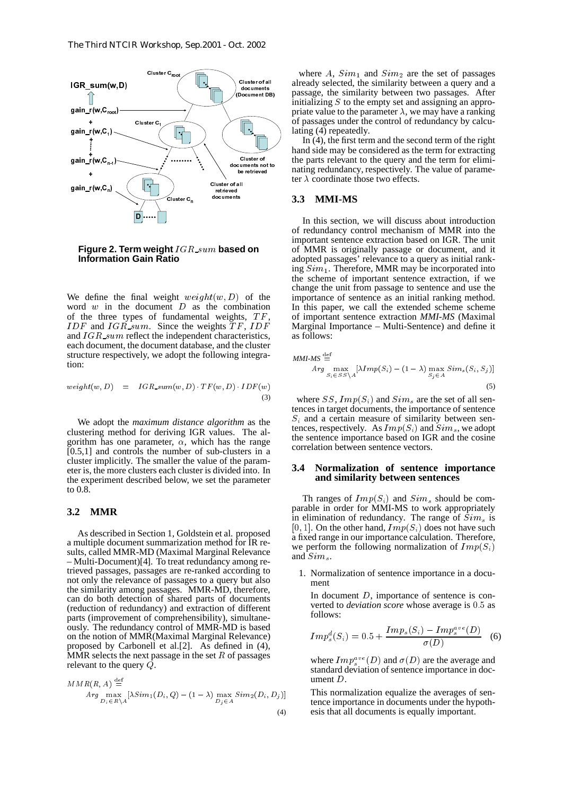

#### **Figure 2. Term weight**  $IGR\_sum$  based on **Information Gain Ratio**

We define the final weight  $weight(w, D)$  of the word  $w$  in the document  $D$  as the combination of the three types of fundamental weights,  $TF$ , IDF and  $IGR\sim sum$ . Since the weights  $TF$ , IDF and  $IGR\_sum$  reflect the independent characteristics, each document, the document database, and the cluster structure respectively, we adopt the following integration:

$$
weight(w, D) = IGR\_sum(w, D) \cdot TF(w, D) \cdot IDF(w)
$$
\n(3)

We adopt the *maximum distance algorithm* as the clustering method for deriving IGR values. The algorithm has one parameter,  $\alpha$ , which has the range  $[0.5,1]$  and controls the number of sub-clusters in a cluster implicitly. The smaller the value of the parameter is, the more clusters each cluster is divided into. In the experiment described below, we set the parameter to 0.8.

## **3.2 MMR**

II mathematically mathematic controller in the second mathematic or Sunnit in the Sunnit of Sunnit in the Sunnit of Sunnit in the Sunnit of Sunnit in the Sunnit of Sunnit in the Sunnit of Sunnit in the Sunnit of Sunnit in gain\_r(w,C<sub>n</sub>,1)<br>  $\frac{1}{2}$ <br>
gain\_r(w,C<sub>n,1</sub>)<br>
gain\_r(w,C<sub>n,1</sub>)<br>  $\frac{1}{2}$ <br>
gain\_r(w,C<sub>n,1</sub>)<br>  $\frac{1}{2}$ <br>
gain\_r(w,C<sub>n,1</sub>)<br>  $\frac{1}{2}$ <br>
gain\_r(w,C<sub>n,1</sub>)<br>  $\frac{1}{2}$ <br>  $\frac{1}{2}$ <br>
gain\_r(w,C<sub>n</sub>)<br>  $\frac{1}{2}$ <br>  $\frac{1}{2}$ <br>  $\frac{1}{2}$ gain\_r(w,C<sub>n</sub><br>  $\frac{1}{2}$ <br>
gain\_r(w,C<sub>n</sub><br>
+<br>
gain\_r(w,C<sub>n</sub>)<br>
+<br>
gain\_r(w,C<sub>n</sub>)<br>
+<br>
gain\_r(w,C<sub>n</sub>)<br>
+<br>  $\frac{1}{2}$ <br> **Figure 2**<br>
Informa<br>
We define<br>
word w in<br>
f the three of w in<br>
f the three of and IGR\_s<br>
ach docum<br>
tructure gain\_ $(n, c_n)$ ,<br>  $\rightarrow$ <br>
gain\_ $r(w, c_n)$ ,<br>  $\rightarrow$ <br>
gain\_ $r(w, c_n)$ ,<br>  $\rightarrow$ <br>
We define t<br>
We define t<br>
word w in<br>
f the three<br>  $DF$  and  $IGR\_su$ <br>
ach docume<br>
tructure resp<br>
ach document<br>
tructure resp<br>
in that is, the model distribution Figure 2<br>
Figure 2<br>
Informa<br>
We define<br>
word w in<br>
f the three<br>
nd  $IGR\_sa$ <br>
ach docum<br>
tructure res<br>
ion:<br>
we adopt<br>
lustering n<br>
we adopt<br>
lustering in<br>
orithm has<br>
0.5,1] and<br>
luster implies<br>
ter is, the m<br>
on 0.8.<br>
.2 M + + + + pp:clude.com/divideo.com/international/com/divideo.com/international/com/divideo.com/international/com/ As described in Section 1, Goldstein et al. proposed a multiple document summarization method for IR results, called MMR-MD (Maximal Marginal Relevance – Multi-Document)[4]. To treat redundancy among retrieved passages, passages are re-ranked according to not only the relevance of passages to a query but also the similarity among passages. MMR-MD, therefore, can do both detection of shared parts of documents (reduction of redundancy) and extraction of different parts (improvement of comprehensibility), simultaneously. The redundancy control of MMR-MD is based on the notion of MMR(Maximal Marginal Relevance) proposed by Carbonell et al.[2]. As defined in (4), MMR selects the next passage in the set  $R$  of passages relevant to the query  $\vec{Q}$ .

$$
MMR(R, A) \stackrel{\text{def}}{=} \nArg \max_{D_i \in R \setminus A} [\lambda Sim_1(D_i, Q) - (1 - \lambda) \max_{D_j \in A} Sim_2(D_i, D_j)]
$$

(4)

where A,  $Sim_1$  and  $Sim_2$  are the set of passages already selected, the similarity between a query and a passage, the similarity between two passages. After initializing  $S$  to the empty set and assigning an appropriate value to the parameter  $\lambda$ , we may have a ranking of passages under the control of redundancy by calculating (4) repeatedly.

In  $(4)$ , the first term and the second term of the right hand side may be considered as the term for extracting the parts relevant to the query and the term for eliminating redundancy, respectively. The value of parameter  $\lambda$  coordinate those two effects.

## **3.3 MMI-MS**

In this section, we will discuss about introduction of redundancy control mechanism of MMR into the important sentence extraction based on IGR. The unit of MMR is originally passage or document, and it adopted passages' relevance to a query as initial ranking  $Sim_1$ . Therefore, MMR may be incorporated into the scheme of important sentence extraction, if we change the unit from passage to sentence and use the importance of sentence as an initial ranking method. In this paper, we call the extended scheme scheme of important sentence extraction *MMI-MS* (Maximal Marginal Importance – Multi-Sentence) and define it as follows:

$$
MMI-MS \stackrel{\text{def}}{=} \n\begin{cases}\nA\,rg & \text{max} \\
S_i \in SS \setminus A\n\end{cases}\n\begin{bmatrix}\n\lambda \, Imp(S_i) - (1 - \lambda) & \text{max} \\
S_j \in A\n\end{bmatrix}\n\begin{cases}\nS_i, S_j\n\end{cases}\n\tag{5}
$$

where SS,  $Imp(S_i)$  and  $Sim_s$  are the set of all sentences in target documents, the importance of sentence  $S_i$  and a certain measure of similarity between sentences, respectively. As  $Imp(S_i)$  and  $Sim_s$ , we adopt the sentence importance based on IGR and the cosine correlation between sentence vectors.

#### **3.4 Normalization of sentence importance and similarity between sentences**

Th ranges of  $Imp(S_i)$  and  $Sim_s$  should be comparable in order for MMI-MS to work appropriately in elimination of redundancy. The range of  $Sim<sub>s</sub>$  is [0, 1]. On the other hand,  $Imp(S_i)$  does not have such a fixed range in our importance calculation. Therefore, we perform the following normalization of  $Imp(S<sub>i</sub>)$ and  $Sim_s$ .

1. Normalization of sentence importance in a document

In document  $D$ , importance of sentence is converted to *deviation score* whose average is 0.5 as follows:

$$
Imp_s^d(S_i) = 0.5 + \frac{Imp_s(S_i) - Imp_s^{ave}(D)}{\sigma(D)} \quad (6)
$$

where  $Imp_s^{ave}(D)$  and  $\sigma(D)$  are the average and standard deviation of sentence importance in document  $D$ .

This normalization equalize the averages of sentence importance in documents under the hypothesis that all documents is equally important.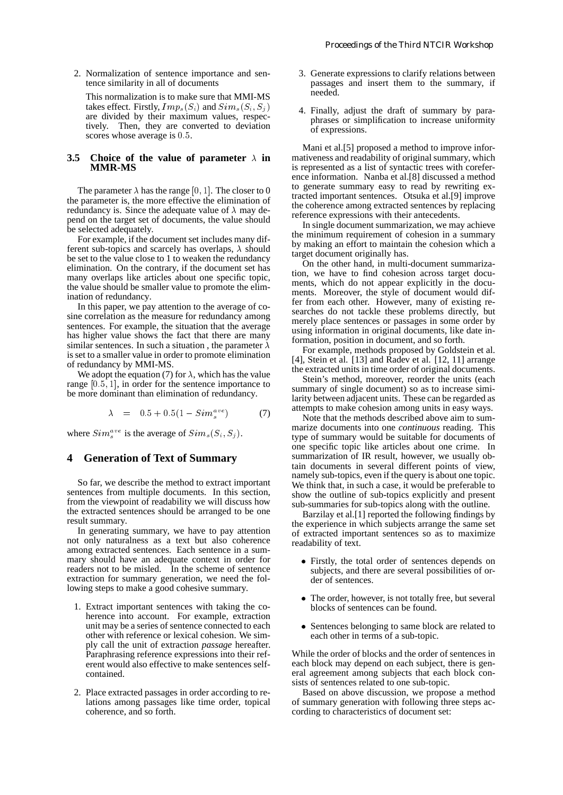2. Normalization of sentence importance and sentence similarity in all of documents

This normalization is to make sure that MMI-MS takes effect. Firstly,  $Imp_s(S_i)$  and  $Sim_s(S_i, S_j)$ are divided by their maximum values, respectively. Then, they are converted to deviation scores whose average is  $0.5$ .

#### **3.5 Choice of the value of parameter**  $\lambda$  in **MMR-MS**

The parameter  $\lambda$  has the range  $[0, 1]$ . The closer to 0 the parameter is, the more effective the elimination of redundancy is. Since the adequate value of  $\lambda$  may depend on the target set of documents, the value should be selected adequately.

For example, if the document set includes many different sub-topics and scarcely has overlaps,  $\lambda$  should be set to the value close to 1 to weaken the redundancy elimination. On the contrary, if the document set has many overlaps like articles about one specific topic, the value should be smaller value to promote the elimination of redundancy.

In this paper, we pay attention to the average of cosine correlation as the measure for redundancy among sentences. For example, the situation that the average has higher value shows the fact that there are many similar sentences. In such a situation, the parameter  $\lambda$ is set to a smaller value in order to promote elimination of redundancy by MMI-MS.

We adopt the equation (7) for  $\lambda$ , which has the value range  $[0.5, 1]$ , in order for the sentence importance to be more dominant than elimination of redundancy.

$$
\lambda = 0.5 + 0.5(1 - Sim_s^{ave}) \tag{7}
$$

where  $Sim_s^{ave}$  is the average of  $Sim_s(S_i, S_j)$ .

## **4 Generation of Text of Summary**

So far, we describe the method to extract important sentences from multiple documents. In this section, from the viewpoint of readability we will discuss how the extracted sentences should be arranged to be one result summary.

In generating summary, we have to pay attention not only naturalness as a text but also coherence among extracted sentences. Each sentence in a summary should have an adequate context in order for readers not to be misled. In the scheme of sentence extraction for summary generation, we need the following steps to make a good cohesive summary.

- 1. Extract important sentences with taking the coherence into account. For example, extraction unit may be a series of sentence connected to each other with reference or lexical cohesion. We simply call the unit of extraction *passage* hereafter. Paraphrasing reference expressions into their referent would also effective to make sentences selfcontained.
- 2. Place extracted passages in order according to relations among passages like time order, topical coherence, and so forth.
- 3. Generate expressions to clarify relations between passages and insert them to the summary, if needed.
- 4. Finally, adjust the draft of summary by paraphrases or simplification to increase uniformity of expressions.

Mani et al.[5] proposed a method to improve informativeness and readability of original summary, which is represented as a list of syntactic trees with coreference information. Nanba et al.[8] discussed a method to generate summary easy to read by rewriting extracted important sentences. Otsuka et al.[9] improve the coherence among extracted sentences by replacing reference expressions with their antecedents.

In single document summarization, we may achieve the minimum requirement of cohesion in a summary by making an effort to maintain the cohesion which a target document originally has.

On the other hand, in multi-document summarization, we have to find cohesion across target documents, which do not appear explicitly in the documents. Moreover, the style of document would differ from each other. However, many of existing researches do not tackle these problems directly, but merely place sentences or passages in some order by using information in original documents, like date information, position in document, and so forth.

For example, methods proposed by Goldstein et al. [4], Stein et al. [13] and Radev et al. [12, 11] arrange the extracted units in time order of original documents.

Stein's method, moreover, reorder the units (each summary of single document) so as to increase similarity between adjacent units. These can be regarded as attempts to make cohesion among units in easy ways.

Note that the methods described above aim to summarize documents into one *continuous* reading. This type of summary would be suitable for documents of one specific topic like articles about one crime. In summarization of IR result, however, we usually obtain documents in several different points of view, namely sub-topics, even if the query is about one topic. We think that, in such a case, it would be preferable to show the outline of sub-topics explicitly and present sub-summaries for sub-topics along with the outline.

Barzilay et al.[1] reported the following findings by the experience in which subjects arrange the same set of extracted important sentences so as to maximize readability of text.

- Firstly, the total order of sentences depends on subjects, and there are several possibilities of order of sentences.
- The order, however, is not totally free, but several blocks of sentences can be found.
- Sentences belonging to same block are related to each other in terms of a sub-topic.

While the order of blocks and the order of sentences in each block may depend on each subject, there is general agreement among subjects that each block consists of sentences related to one sub-topic.

Based on above discussion, we propose a method of summary generation with following three steps according to characteristics of document set: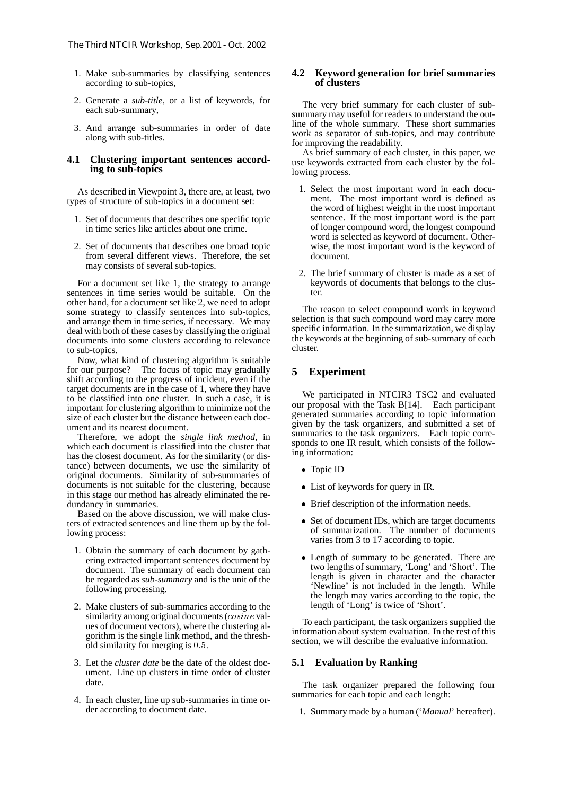- 1. Make sub-summaries by classifying sentences according to sub-topics,
- 2. Generate a *sub-title*, or a list of keywords, for each sub-summary,
- 3. And arrange sub-summaries in order of date along with sub-titles.

### **4.1 Clustering important sentences according to sub-topics**

As described in Viewpoint 3, there are, at least, two types of structure of sub-topics in a document set:

- 1. Set of documents that describes one specific topic in time series like articles about one crime.
- 2. Set of documents that describes one broad topic from several different views. Therefore, the set may consists of several sub-topics.

For a document set like 1, the strategy to arrange sentences in time series would be suitable. On the other hand, for a document set like 2, we need to adopt some strategy to classify sentences into sub-topics, and arrange them in time series, if necessary. We may deal with both of these cases by classifying the original documents into some clusters according to relevance to sub-topics.

Now, what kind of clustering algorithm is suitable for our purpose? The focus of topic may gradually shift according to the progress of incident, even if the target documents are in the case of 1, where they have to be classified into one cluster. In such a case, it is important for clustering algorithm to minimize not the size of each cluster but the distance between each document and its nearest document.

Therefore, we adopt the *single link method*, in which each document is classified into the cluster that has the closest document. As for the similarity (or distance) between documents, we use the similarity of original documents. Similarity of sub-summaries of documents is not suitable for the clustering, because in this stage our method has already eliminated the redundancy in summaries.

Based on the above discussion, we will make clusters of extracted sentences and line them up by the following process:

- 1. Obtain the summary of each document by gathering extracted important sentences document by document. The summary of each document can be regarded as *sub-summary* and is the unit of the following processing.
- 2. Make clusters of sub-summaries according to the similarity among original documents  $(cosine$  values of document vectors), where the clustering algorithm is the single link method, and the threshold similarity for merging is  $0.5$ .
- 3. Let the *cluster date* be the date of the oldest document. Line up clusters in time order of cluster date.
- 4. In each cluster, line up sub-summaries in time order according to document date.

### **4.2 Keyword generation for brief summaries of clusters**

The very brief summary for each cluster of subsummary may useful for readers to understand the outline of the whole summary. These short summaries work as separator of sub-topics, and may contribute for improving the readability.

As brief summary of each cluster, in this paper, we use keywords extracted from each cluster by the following process.

- 1. Select the most important word in each document. The most important word is defined as the word of highest weight in the most important sentence. If the most important word is the part of longer compound word, the longest compound word is selected as keyword of document. Otherwise, the most important word is the keyword of document.
- 2. The brief summary of cluster is made as a set of keywords of documents that belongs to the cluster.

The reason to select compound words in keyword selection is that such compound word may carry more specific information. In the summarization, we display the keywords at the beginning of sub-summary of each cluster.

## **5 Experiment**

We participated in NTCIR3 TSC2 and evaluated our proposal with the Task B[14]. Each participant generated summaries according to topic information given by the task organizers, and submitted a set of summaries to the task organizers. Each topic corresponds to one IR result, which consists of the following information:

- Topic ID
- List of keywords for query in IR.
- Brief description of the information needs.
- Set of document IDs, which are target documents of summarization. The number of documents varies from 3 to 17 according to topic.
- Length of summary to be generated. There are two lengths of summary, 'Long' and 'Short'. The length is given in character and the character 'Newline' is not included in the length. While the length may varies according to the topic, the length of 'Long' is twice of 'Short'.

To each participant, the task organizers supplied the information about system evaluation. In the rest of this section, we will describe the evaluative information.

### **5.1 Evaluation by Ranking**

The task organizer prepared the following four summaries for each topic and each length:

1. Summary made by a human ('*Manual*' hereafter).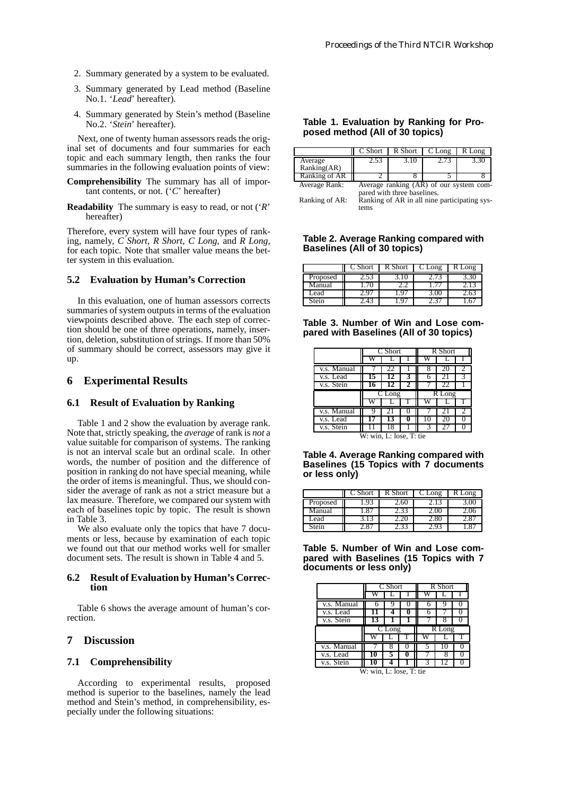- 2. Summary generated by a system to be evaluated.
- 3. Summary generated by Lead method (Baseline No.1. '*Lead*' hereafter).
- 4. Summary generated by Stein's method (Baseline No.2. '*Stein*' hereafter).

Next, one of twenty human assessors reads the original set of documents and four summaries for each topic and each summary length, then ranks the four summaries in the following evaluation points of view:

**Comprehensibility** The summary has all of important contents, or not. ('*C*' hereafter)

**Readability** The summary is easy to read, or not ('*R*' hereafter)

Therefore, every system will have four types of ranking, namely, *C Short*, *R Short*, *C Long*, and *R Long*, for each topic. Note that smaller value means the better system in this evaluation.

### **5.2 Evaluation by Human's Correction**

In this evaluation, one of human assessors corrects summaries of system outputs in terms of the evaluation viewpoints described above. The each step of correction should be one of three operations, namely, insertion, deletion, substitution of strings. If more than 50% of summary should be correct, assessors may give it up.

## **6 Experimental Results**

#### **6.1 Result of Evaluation by Ranking**

Table 1 and 2 show the evaluation by average rank. Note that, strictly speaking, the *average* of rank is *not* a value suitable for comparison of systems. The ranking is not an interval scale but an ordinal scale. In other words, the number of position and the difference of position in ranking do not have special meaning, while the order of items is meaningful. Thus, we should consider the average of rank as not a strict measure but a lax measure. Therefore, we compared our system with each of baselines topic by topic. The result is shown in Table 3.

We also evaluate only the topics that have 7 documents or less, because by examination of each topic we found out that our method works well for smaller document sets. The result is shown in Table 4 and 5.

#### **6.2 Result of Evaluation by Human's Correction**

Table 6 shows the average amount of human's correction.

## **7 Discussion**

#### **7.1 Comprehensibility**

According to experimental results, proposed method is superior to the baselines, namely the lead method and Stein's method, in comprehensibility, especially under the following situations:

### **Table 1. Evaluation by Ranking for Proposed method (All of 30 topics)**

|               | C Short                     | R Short                                 | C Long | R Long |  |  |
|---------------|-----------------------------|-----------------------------------------|--------|--------|--|--|
| Average       | 2.53                        | 3.10                                    | 2.13   | 3.30   |  |  |
| Ranking(AR)   |                             |                                         |        |        |  |  |
| Ranking of AR |                             |                                         |        |        |  |  |
| Average Rank: |                             | Average ranking (AR) of our system com- |        |        |  |  |
|               | pared with three baselines. |                                         |        |        |  |  |

Ranking of AR: Ranking of AR in all nine participating systems

**Table 2. Average Ranking compared with Baselines (All of 30 topics)**

|          | $\mathbb C$ Short | R Short | C Long | ong |
|----------|-------------------|---------|--------|-----|
| Proposed | 2.SS              | TŪ      | 2.13   | اڻ. |
| Manual   |                   |         |        |     |
| Lead     | ₩.                | Υ,      | 3.OU   |     |
| stein    |                   |         |        |     |

**Table 3. Number of Win and Lose compared with Baselines (All of 30 topics)**

|             | C Short  |    |  | R Short |                     |  |
|-------------|----------|----|--|---------|---------------------|--|
|             |          |    |  |         |                     |  |
| v.s. Manual |          | 22 |  | 8       | 20                  |  |
| v.s. Lead   | 15       |    |  | 6       | 21                  |  |
| v.s. Stein  |          |    |  |         |                     |  |
|             | $CL$ ong |    |  |         |                     |  |
|             |          |    |  |         | $\overline{R}$ Long |  |
|             |          |    |  |         |                     |  |
| v.s. Manual | Q        | 21 |  |         | 21                  |  |
| v.s. Lead   |          | 13 |  | 10      | 20                  |  |
| v.s. Stein  |          | 18 |  |         |                     |  |

W: win, L: lose, T: tie

| Table 4. Average Ranking compared with       |  |  |
|----------------------------------------------|--|--|
| <b>Baselines (15 Topics with 7 documents</b> |  |  |
| or less only).                               |  |  |

|          | C Short      | R Short | Long  | Long |
|----------|--------------|---------|-------|------|
| Proposed | .93          | ∠.ot    |       |      |
| Manual   | $.8^{\circ}$ | 2.SS    |       |      |
| Lead     | 5. I .:      |         | $-.0$ | - 6  |
| stein    |              |         |       |      |

**Table 5. Number of Win and Lose compared with Baselines (15 Topics with 7 documents or less only)**

|             | C Short  |  |  | R Short |  |  |
|-------------|----------|--|--|---------|--|--|
|             |          |  |  |         |  |  |
| v.s. Manual |          |  |  |         |  |  |
| v.s. Lead   | 11       |  |  | 6       |  |  |
| v.s. Stein  | 13       |  |  |         |  |  |
|             | $C$ Long |  |  | R Long  |  |  |
|             |          |  |  |         |  |  |
|             |          |  |  |         |  |  |
| v.s. Manual |          |  |  |         |  |  |
| v.s. Lead   | 10       |  |  |         |  |  |
| v.s. Stein  |          |  |  |         |  |  |

W: win, L: lose, T: tie